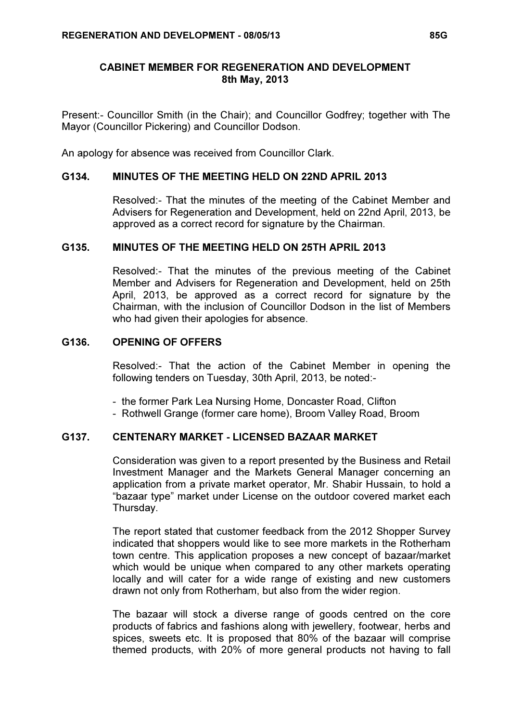## CABINET MEMBER FOR REGENERATION AND DEVELOPMENT 8th May, 2013

Present:- Councillor Smith (in the Chair); and Councillor Godfrey; together with The Mayor (Councillor Pickering) and Councillor Dodson.

An apology for absence was received from Councillor Clark.

### G134. MINUTES OF THE MEETING HELD ON 22ND APRIL 2013

 Resolved:- That the minutes of the meeting of the Cabinet Member and Advisers for Regeneration and Development, held on 22nd April, 2013, be approved as a correct record for signature by the Chairman.

#### G135. MINUTES OF THE MEETING HELD ON 25TH APRIL 2013

 Resolved:- That the minutes of the previous meeting of the Cabinet Member and Advisers for Regeneration and Development, held on 25th April, 2013, be approved as a correct record for signature by the Chairman, with the inclusion of Councillor Dodson in the list of Members who had given their apologies for absence.

#### G136. OPENING OF OFFERS

 Resolved:- That the action of the Cabinet Member in opening the following tenders on Tuesday, 30th April, 2013, be noted:-

- the former Park Lea Nursing Home, Doncaster Road, Clifton
- Rothwell Grange (former care home), Broom Valley Road, Broom

# G137. CENTENARY MARKET - LICENSED BAZAAR MARKET

 Consideration was given to a report presented by the Business and Retail Investment Manager and the Markets General Manager concerning an application from a private market operator, Mr. Shabir Hussain, to hold a "bazaar type" market under License on the outdoor covered market each Thursday.

The report stated that customer feedback from the 2012 Shopper Survey indicated that shoppers would like to see more markets in the Rotherham town centre. This application proposes a new concept of bazaar/market which would be unique when compared to any other markets operating locally and will cater for a wide range of existing and new customers drawn not only from Rotherham, but also from the wider region.

The bazaar will stock a diverse range of goods centred on the core products of fabrics and fashions along with jewellery, footwear, herbs and spices, sweets etc. It is proposed that 80% of the bazaar will comprise themed products, with 20% of more general products not having to fall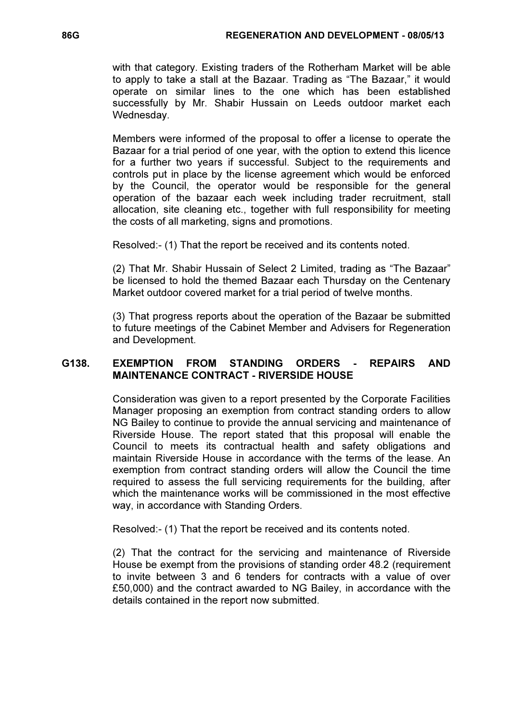with that category. Existing traders of the Rotherham Market will be able to apply to take a stall at the Bazaar. Trading as "The Bazaar," it would operate on similar lines to the one which has been established successfully by Mr. Shabir Hussain on Leeds outdoor market each Wednesday.

Members were informed of the proposal to offer a license to operate the Bazaar for a trial period of one year, with the option to extend this licence for a further two years if successful. Subject to the requirements and controls put in place by the license agreement which would be enforced by the Council, the operator would be responsible for the general operation of the bazaar each week including trader recruitment, stall allocation, site cleaning etc., together with full responsibility for meeting the costs of all marketing, signs and promotions.

Resolved:- (1) That the report be received and its contents noted.

(2) That Mr. Shabir Hussain of Select 2 Limited, trading as "The Bazaar" be licensed to hold the themed Bazaar each Thursday on the Centenary Market outdoor covered market for a trial period of twelve months.

(3) That progress reports about the operation of the Bazaar be submitted to future meetings of the Cabinet Member and Advisers for Regeneration and Development.

# G138. EXEMPTION FROM STANDING ORDERS - REPAIRS AND MAINTENANCE CONTRACT - RIVERSIDE HOUSE

 Consideration was given to a report presented by the Corporate Facilities Manager proposing an exemption from contract standing orders to allow NG Bailey to continue to provide the annual servicing and maintenance of Riverside House. The report stated that this proposal will enable the Council to meets its contractual health and safety obligations and maintain Riverside House in accordance with the terms of the lease. An exemption from contract standing orders will allow the Council the time required to assess the full servicing requirements for the building, after which the maintenance works will be commissioned in the most effective way, in accordance with Standing Orders.

Resolved:- (1) That the report be received and its contents noted.

(2) That the contract for the servicing and maintenance of Riverside House be exempt from the provisions of standing order 48.2 (requirement to invite between 3 and 6 tenders for contracts with a value of over £50,000) and the contract awarded to NG Bailey, in accordance with the details contained in the report now submitted.